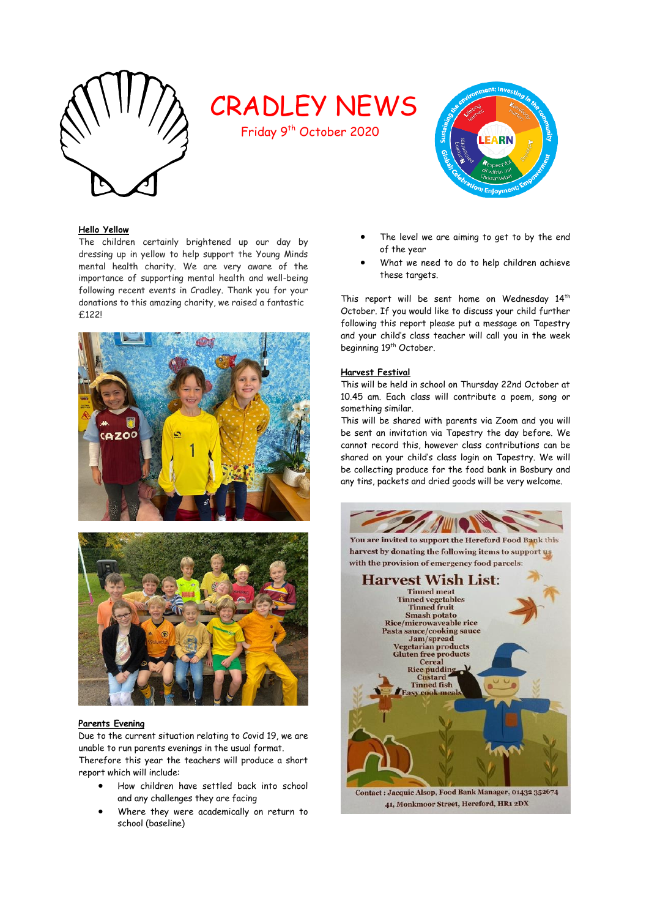

# CRADLEY NEWS

Friday 9<sup>th</sup> October 2020



# **Hello Yellow**

The children certainly brightened up our day by dressing up in yellow to help support the Young Minds mental health charity. We are very aware of the importance of supporting mental health and well-being following recent events in Cradley. Thank you for your donations to this amazing charity, we raised a fantastic £122!





# **Parents Evening**

Due to the current situation relating to Covid 19, we are unable to run parents evenings in the usual format. Therefore this year the teachers will produce a short report which will include:

- How children have settled back into school and any challenges they are facing
- Where they were academically on return to school (baseline)
- The level we are aiming to get to by the end of the year
- What we need to do to help children achieve these targets.

This report will be sent home on Wednesday 14<sup>th</sup> October. If you would like to discuss your child further following this report please put a message on Tapestry and your child's class teacher will call you in the week beginning 19<sup>th</sup> October.

# **Harvest Festival**

This will be held in school on Thursday 22nd October at 10.45 am. Each class will contribute a poem, song or something similar.

This will be shared with parents via Zoom and you will be sent an invitation via Tapestry the day before. We cannot record this, however class contributions can be shared on your child's class login on Tapestry. We will be collecting produce for the food bank in Bosbury and any tins, packets and dried goods will be very welcome.

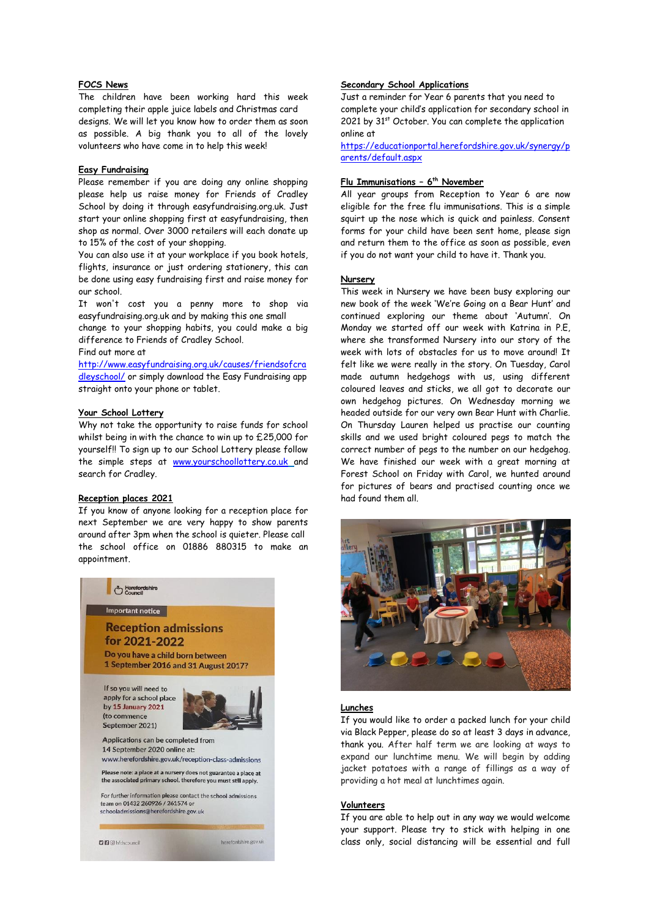## **FOCS News**

The children have been working hard this week completing their apple juice labels and Christmas card designs. We will let you know how to order them as soon as possible. A big thank you to all of the lovely volunteers who have come in to help this week!

#### **Easy Fundraising**

Please remember if you are doing any online shopping please help us raise money for Friends of Cradley School by doing it through easyfundraising.org.uk. Just start your online shopping first at easyfundraising, then shop as normal. Over 3000 retailers will each donate up to 15% of the cost of your shopping.

You can also use it at your workplace if you book hotels, flights, insurance or just ordering stationery, this can be done using easy fundraising first and raise money for our school.

It won't cost you a penny more to shop via easyfundraising.org.uk and by making this one small

change to your shopping habits, you could make a big difference to Friends of Cradley School.

Find out more at

[http://www.easyfundraising.org.uk/causes/friendsofcra](http://www.easyfundraising.org.uk/causes/friendsofcradleyschool/) [dleyschool/](http://www.easyfundraising.org.uk/causes/friendsofcradleyschool/) or simply download the Easy Fundraising app straight onto your phone or tablet.

#### **Your School Lottery**

Why not take the opportunity to raise funds for school whilst being in with the chance to win up to £25,000 for yourself!! To sign up to our School Lottery please follow the simple steps at [www.yourschoollottery.co.uk](http://www.yourschoollottery.co.uk/) and search for Cradley.

#### **Reception places 2021**

If you know of anyone looking for a reception place for next September we are very happy to show parents around after 3pm when the school is quieter. Please call the school office on 01886 880315 to make an appointment.



## **Secondary School Applications**

Just a reminder for Year 6 parents that you need to complete your child's application for secondary school in 2021 by  $31<sup>st</sup>$  October. You can complete the application online at

[https://educationportal.herefordshire.gov.uk/synergy/p](https://educationportal.herefordshire.gov.uk/synergy/parents/default.aspx) [arents/default.aspx](https://educationportal.herefordshire.gov.uk/synergy/parents/default.aspx)

## **Flu Immunisations – 6 th November**

All year groups from Reception to Year 6 are now eligible for the free flu immunisations. This is a simple squirt up the nose which is quick and painless. Consent forms for your child have been sent home, please sign and return them to the office as soon as possible, even if you do not want your child to have it. Thank you.

# **Nursery**

This week in Nursery we have been busy exploring our new book of the week 'We're Going on a Bear Hunt' and continued exploring our theme about 'Autumn'. On Monday we started off our week with Katrina in P.E, where she transformed Nursery into our story of the week with lots of obstacles for us to move around! It felt like we were really in the story. On Tuesday, Carol made autumn hedgehogs with us, using different coloured leaves and sticks, we all got to decorate our own hedgehog pictures. On Wednesday morning we headed outside for our very own Bear Hunt with Charlie. On Thursday Lauren helped us practise our counting skills and we used bright coloured pegs to match the correct number of pegs to the number on our hedgehog. We have finished our week with a great morning at Forest School on Friday with Carol, we hunted around for pictures of bears and practised counting once we had found them all.



## **Lunches**

If you would like to order a packed lunch for your child via Black Pepper, please do so at least 3 days in advance, thank you. After half term we are looking at ways to expand our lunchtime menu. We will begin by adding jacket potatoes with a range of fillings as a way of providing a hot meal at lunchtimes again.

# **Volunteers**

If you are able to help out in any way we would welcome your support. Please try to stick with helping in one class only, social distancing will be essential and full